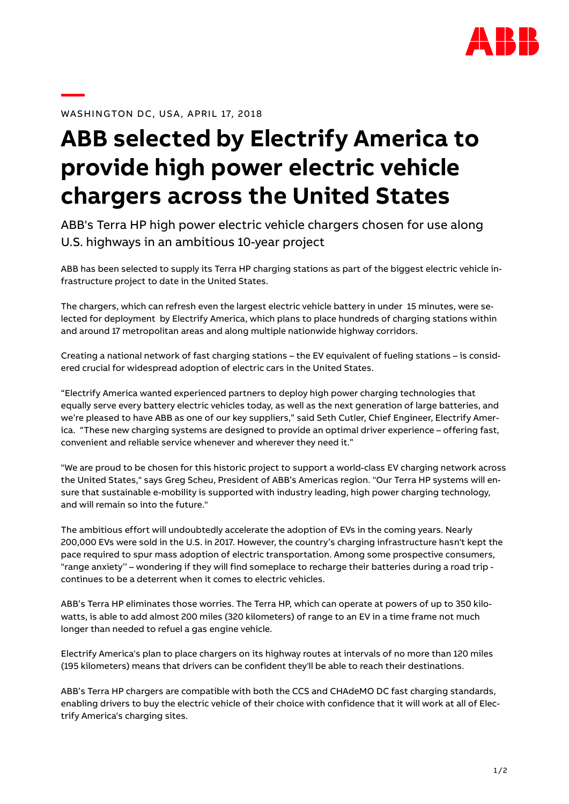

WASHINGTON DC, USA, APRIL 17, 2018

## **ABB selected by Electrify America to provide high power electric vehicle chargers across the United States**

ABB's Terra HP high power electric vehicle chargers chosen for use along U.S. highways in an ambitious 10-year project

ABB has been selected to supply its Terra HP charging stations as part of the biggest electric vehicle infrastructure project to date in the United States.

The chargers, which can refresh even the largest electric vehicle battery in under 15 minutes, were selected for deployment by Electrify America, which plans to place hundreds of charging stations within and around 17 metropolitan areas and along multiple nationwide highway corridors.

Creating a national network of fast charging stations – the EV equivalent of fueling stations – is considered crucial for widespread adoption of electric cars in the United States.

"Electrify America wanted experienced partners to deploy high power charging technologies that equally serve every battery electric vehicles today, as well as the next generation of large batteries, and we're pleased to have ABB as one of our key suppliers," said Seth Cutler, Chief Engineer, Electrify America. "These new charging systems are designed to provide an optimal driver experience – offering fast, convenient and reliable service whenever and wherever they need it."

"We are proud to be chosen for this historic project to support a world-class EV charging network across the United States," says Greg Scheu, President of ABB's Americas region. "Our Terra HP systems will ensure that sustainable e-mobility is supported with industry leading, high power charging technology, and will remain so into the future."

The ambitious effort will undoubtedly accelerate the adoption of EVs in the coming years. Nearly 200,000 EVs were sold in the U.S. in 2017. However, the country's charging infrastructure hasn't kept the pace required to spur mass adoption of electric transportation. Among some prospective consumers, "range anxiety'' – wondering if they will find someplace to recharge their batteries during a road trip continues to be a deterrent when it comes to electric vehicles.

ABB's Terra HP eliminates those worries. The Terra HP, which can operate at powers of up to 350 kilowatts, is able to add almost 200 miles (320 kilometers) of range to an EV in a time frame not much longer than needed to refuel a gas engine vehicle.

Electrify America's plan to place chargers on its highway routes at intervals of no more than 120 miles (195 kilometers) means that drivers can be confident they'll be able to reach their destinations.

ABB's Terra HP chargers are compatible with both the CCS and CHAdeMO DC fast charging standards, enabling drivers to buy the electric vehicle of their choice with confidence that it will work at all of Electrify America's charging sites.